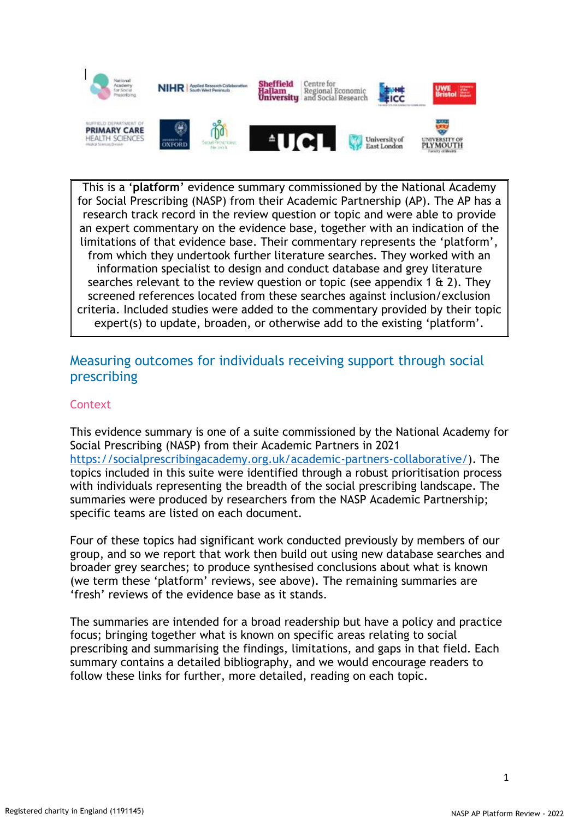

This is a '**platform**' evidence summary commissioned by the National Academy for Social Prescribing (NASP) from their Academic Partnership (AP). The AP has a research track record in the review question or topic and were able to provide an expert commentary on the evidence base, together with an indication of the limitations of that evidence base. Their commentary represents the 'platform', from which they undertook further literature searches. They worked with an information specialist to design and conduct database and grey literature searches relevant to the review question or topic (see appendix 1  $\&$  2). They screened references located from these searches against inclusion/exclusion criteria. Included studies were added to the commentary provided by their topic expert(s) to update, broaden, or otherwise add to the existing 'platform'.

# Measuring outcomes for individuals receiving support through social prescribing

# **Context**

This evidence summary is one of a suite commissioned by the National Academy for Social Prescribing (NASP) from their Academic Partners in 2021 [https://socialprescribingacademy.org.uk/academic-partners-collaborative/\)](https://socialprescribingacademy.org.uk/academic-partners-collaborative/). The topics included in this suite were identified through a robust prioritisation process with individuals representing the breadth of the social prescribing landscape. The summaries were produced by researchers from the NASP Academic Partnership; specific teams are listed on each document.

Four of these topics had significant work conducted previously by members of our group, and so we report that work then build out using new database searches and broader grey searches; to produce synthesised conclusions about what is known (we term these 'platform' reviews, see above). The remaining summaries are 'fresh' reviews of the evidence base as it stands.

The summaries are intended for a broad readership but have a policy and practice focus; bringing together what is known on specific areas relating to social prescribing and summarising the findings, limitations, and gaps in that field. Each summary contains a detailed bibliography, and we would encourage readers to follow these links for further, more detailed, reading on each topic.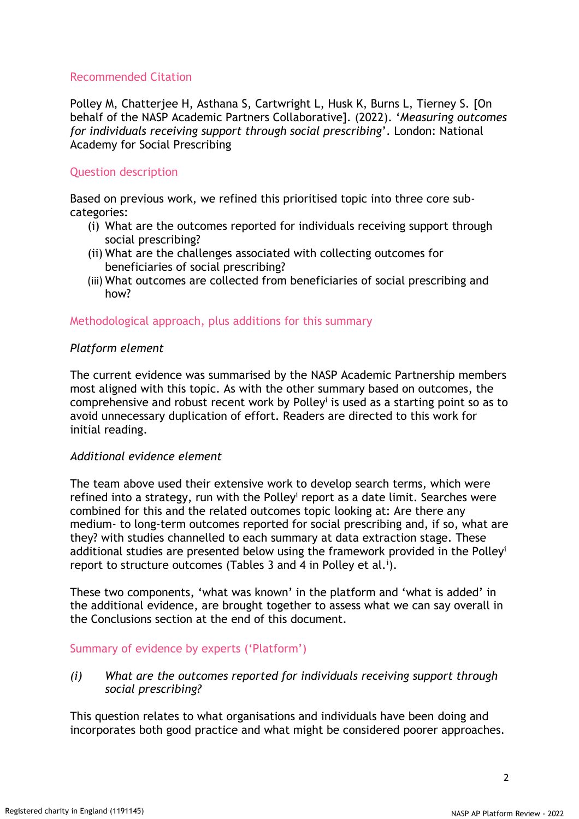# Recommended Citation

Polley M, Chatterjee H, Asthana S, Cartwright L, Husk K, Burns L, Tierney S. [On behalf of the NASP Academic Partners Collaborative]. (2022). '*Measuring outcomes for individuals receiving support through social prescribing*'. London: National Academy for Social Prescribing

# Question description

Based on previous work, we refined this prioritised topic into three core subcategories:

- (i) What are the outcomes reported for individuals receiving support through social prescribing?
- (ii) What are the challenges associated with collecting outcomes for beneficiaries of social prescribing?
- (iii) What outcomes are collected from beneficiaries of social prescribing and how?

# Methodological approach, plus additions for this summary

# *Platform element*

The current evidence was summarised by the NASP Academic Partnership members most aligned with this topic. As with the other summary based on outcomes, the comprehensive and robust recent work by Polley<sup>i</sup> is used as a starting point so as to avoid unnecessary duplication of effort. Readers are directed to this work for initial reading.

# *Additional evidence element*

The team above used their extensive work to develop search terms, which were refined into a strategy, run with the Polley<sup>i</sup> report as a date limit. Searches were combined for this and the related outcomes topic looking at: Are there any medium- to long-term outcomes reported for social prescribing and, if so, what are they? with studies channelled to each summary at data extraction stage. These additional studies are presented below using the framework provided in the Polley<sup>i</sup> report to structure outcomes (Tables 3 and 4 in Polley et al.<sup>i</sup>).

These two components, 'what was known' in the platform and 'what is added' in the additional evidence, are brought together to assess what we can say overall in the Conclusions section at the end of this document.

# Summary of evidence by experts ('Platform')

*(i) What are the outcomes reported for individuals receiving support through social prescribing?* 

This question relates to what organisations and individuals have been doing and incorporates both good practice and what might be considered poorer approaches.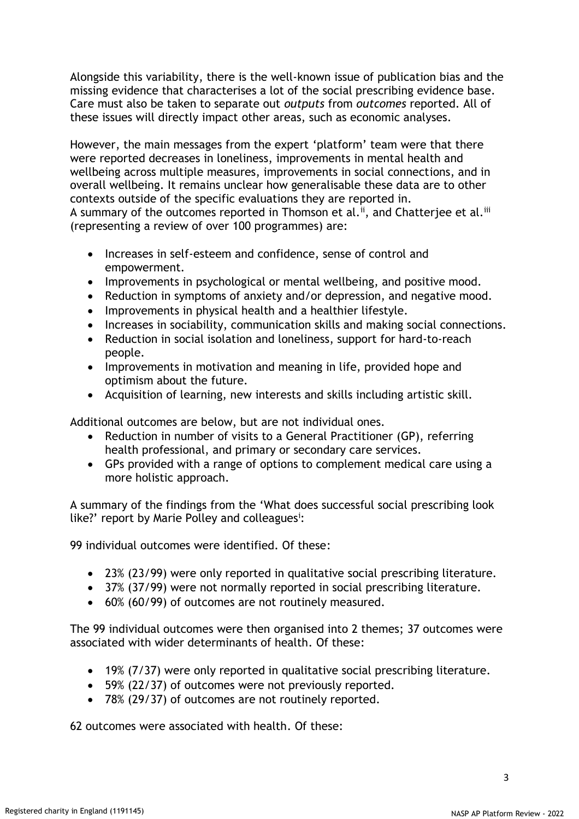Alongside this variability, there is the well-known issue of publication bias and the missing evidence that characterises a lot of the social prescribing evidence base. Care must also be taken to separate out *outputs* from *outcomes* reported. All of these issues will directly impact other areas, such as economic analyses.

However, the main messages from the expert 'platform' team were that there were reported decreases in loneliness, improvements in mental health and wellbeing across multiple measures, improvements in social connections, and in overall wellbeing. It remains unclear how generalisable these data are to other contexts outside of the specific evaluations they are reported in. A summary of the outcomes reported in Thomson et al.<sup>ii</sup>, and Chatterjee et al.<sup>iii</sup>

(representing a review of over 100 programmes) are:

- Increases in self-esteem and confidence, sense of control and empowerment.
- Improvements in psychological or mental wellbeing, and positive mood.
- Reduction in symptoms of anxiety and/or depression, and negative mood.
- Improvements in physical health and a healthier lifestyle.
- Increases in sociability, communication skills and making social connections.
- Reduction in social isolation and loneliness, support for hard-to-reach people.
- Improvements in motivation and meaning in life, provided hope and optimism about the future.
- Acquisition of learning, new interests and skills including artistic skill.

Additional outcomes are below, but are not individual ones.

- Reduction in number of visits to a General Practitioner (GP), referring health professional, and primary or secondary care services.
- GPs provided with a range of options to complement medical care using a more holistic approach.

A summary of the findings from the 'What does successful social prescribing look like?' report by Marie Polley and colleagues<sup>i</sup>:

99 individual outcomes were identified. Of these:

- 23% (23/99) were only reported in qualitative social prescribing literature.
- 37% (37/99) were not normally reported in social prescribing literature.
- 60% (60/99) of outcomes are not routinely measured.

The 99 individual outcomes were then organised into 2 themes; 37 outcomes were associated with wider determinants of health. Of these:

- 19% (7/37) were only reported in qualitative social prescribing literature.
- 59% (22/37) of outcomes were not previously reported.
- 78% (29/37) of outcomes are not routinely reported.

62 outcomes were associated with health. Of these: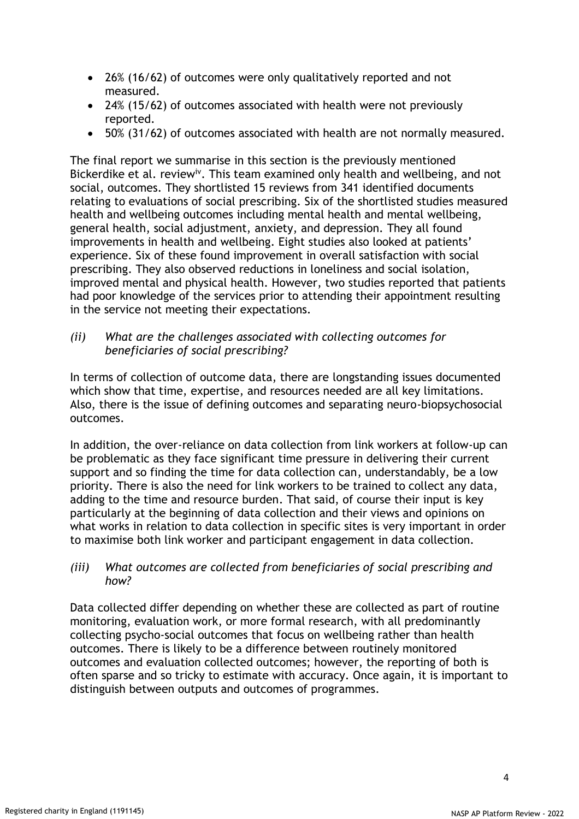- 26% (16/62) of outcomes were only qualitatively reported and not measured.
- 24% (15/62) of outcomes associated with health were not previously reported.
- 50% (31/62) of outcomes associated with health are not normally measured.

The final report we summarise in this section is the previously mentioned Bickerdike et al. review<sup>iv</sup>. This team examined only health and wellbeing, and not social, outcomes. They shortlisted 15 reviews from 341 identified documents relating to evaluations of social prescribing. Six of the shortlisted studies measured health and wellbeing outcomes including mental health and mental wellbeing, general health, social adjustment, anxiety, and depression. They all found improvements in health and wellbeing. Eight studies also looked at patients' experience. Six of these found improvement in overall satisfaction with social prescribing. They also observed reductions in loneliness and social isolation, improved mental and physical health. However, two studies reported that patients had poor knowledge of the services prior to attending their appointment resulting in the service not meeting their expectations.

*(ii) What are the challenges associated with collecting outcomes for beneficiaries of social prescribing?* 

In terms of collection of outcome data, there are longstanding issues documented which show that time, expertise, and resources needed are all key limitations. Also, there is the issue of defining outcomes and separating neuro-biopsychosocial outcomes.

In addition, the over-reliance on data collection from link workers at follow-up can be problematic as they face significant time pressure in delivering their current support and so finding the time for data collection can, understandably, be a low priority. There is also the need for link workers to be trained to collect any data, adding to the time and resource burden. That said, of course their input is key particularly at the beginning of data collection and their views and opinions on what works in relation to data collection in specific sites is very important in order to maximise both link worker and participant engagement in data collection.

# *(iii) What outcomes are collected from beneficiaries of social prescribing and how?*

Data collected differ depending on whether these are collected as part of routine monitoring, evaluation work, or more formal research, with all predominantly collecting psycho-social outcomes that focus on wellbeing rather than health outcomes. There is likely to be a difference between routinely monitored outcomes and evaluation collected outcomes; however, the reporting of both is often sparse and so tricky to estimate with accuracy. Once again, it is important to distinguish between outputs and outcomes of programmes.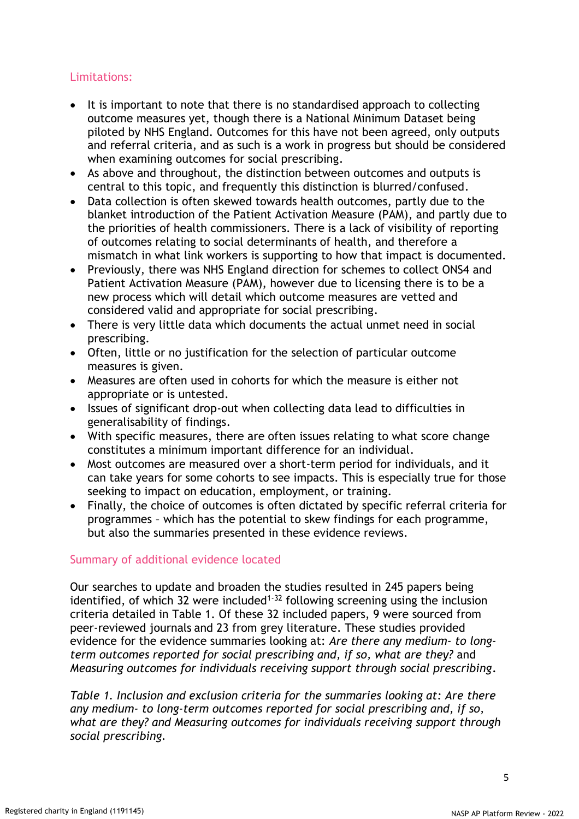# Limitations:

- It is important to note that there is no standardised approach to collecting outcome measures yet, though there is a National Minimum Dataset being piloted by NHS England. Outcomes for this have not been agreed, only outputs and referral criteria, and as such is a work in progress but should be considered when examining outcomes for social prescribing.
- As above and throughout, the distinction between outcomes and outputs is central to this topic, and frequently this distinction is blurred/confused.
- Data collection is often skewed towards health outcomes, partly due to the blanket introduction of the Patient Activation Measure (PAM), and partly due to the priorities of health commissioners. There is a lack of visibility of reporting of outcomes relating to social determinants of health, and therefore a mismatch in what link workers is supporting to how that impact is documented.
- Previously, there was NHS England direction for schemes to collect ONS4 and Patient Activation Measure (PAM), however due to licensing there is to be a new process which will detail which outcome measures are vetted and considered valid and appropriate for social prescribing.
- There is very little data which documents the actual unmet need in social prescribing.
- Often, little or no justification for the selection of particular outcome measures is given.
- Measures are often used in cohorts for which the measure is either not appropriate or is untested.
- Issues of significant drop-out when collecting data lead to difficulties in generalisability of findings.
- With specific measures, there are often issues relating to what score change constitutes a minimum important difference for an individual.
- Most outcomes are measured over a short-term period for individuals, and it can take years for some cohorts to see impacts. This is especially true for those seeking to impact on education, employment, or training.
- Finally, the choice of outcomes is often dictated by specific referral criteria for programmes – which has the potential to skew findings for each programme, but also the summaries presented in these evidence reviews.

# Summary of additional evidence located

Our searches to update and broaden the studies resulted in 245 papers being identified, of which 32 were included<sup>1-32</sup> following screening using the inclusion criteria detailed in Table 1. Of these 32 included papers, 9 were sourced from peer-reviewed journals and 23 from grey literature. These studies provided evidence for the evidence summaries looking at: *Are there any medium- to longterm outcomes reported for social prescribing and, if so, what are they?* and *Measuring outcomes for individuals receiving support through social prescribing.*

*Table 1. Inclusion and exclusion criteria for the summaries looking at: Are there any medium- to long-term outcomes reported for social prescribing and, if so, what are they? and Measuring outcomes for individuals receiving support through social prescribing.*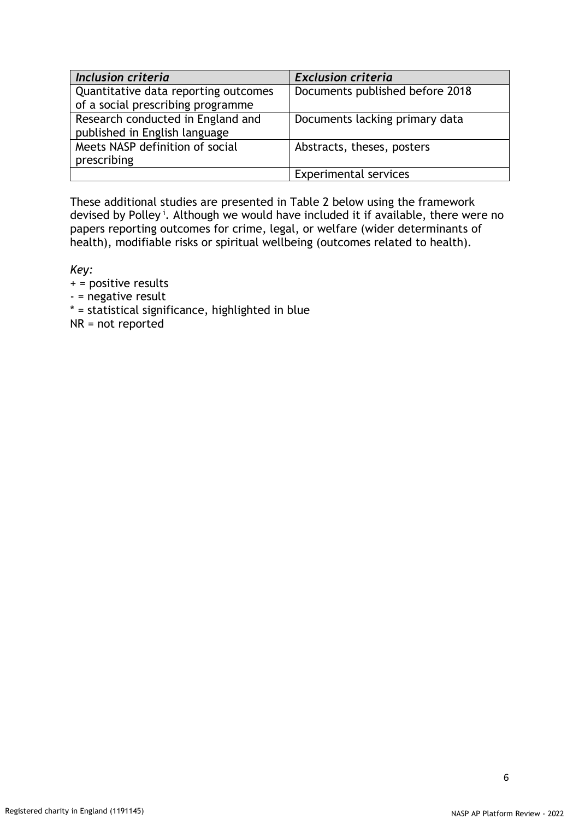| Inclusion criteria                   | <b>Exclusion criteria</b>       |  |  |  |  |
|--------------------------------------|---------------------------------|--|--|--|--|
| Quantitative data reporting outcomes | Documents published before 2018 |  |  |  |  |
| of a social prescribing programme    |                                 |  |  |  |  |
| Research conducted in England and    | Documents lacking primary data  |  |  |  |  |
| published in English language        |                                 |  |  |  |  |
| Meets NASP definition of social      | Abstracts, theses, posters      |  |  |  |  |
| prescribing                          |                                 |  |  |  |  |
|                                      | <b>Experimental services</b>    |  |  |  |  |

These additional studies are presented in Table 2 below using the framework devised by Polley<sup>i</sup>. Although we would have included it if available, there were no papers reporting outcomes for crime, legal, or welfare (wider determinants of health), modifiable risks or spiritual wellbeing (outcomes related to health).

*Key:* 

+ = positive results

- = negative result

\* = statistical significance, highlighted in blue

NR = not reported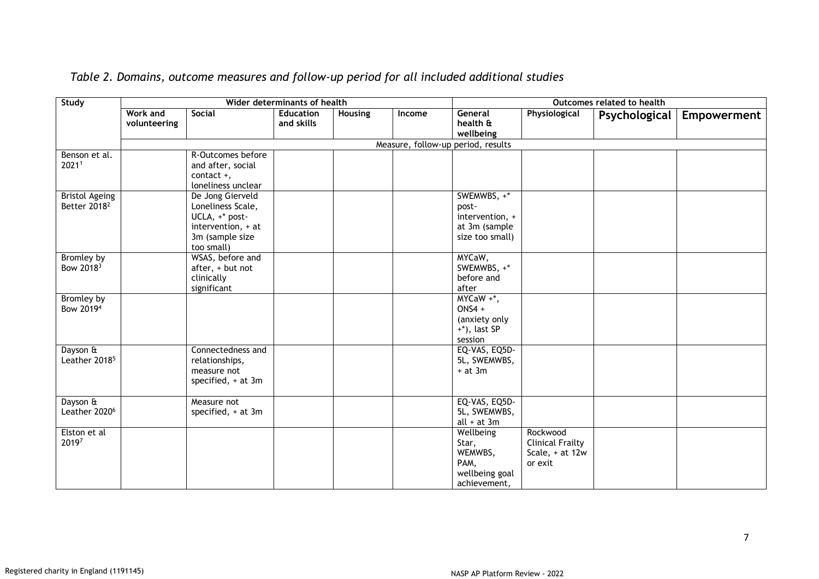| Study                                             | Wider determinants of health |                                                                                                                |                                |         | Outcomes related to health |                                                                             |                                                                   |               |                    |
|---------------------------------------------------|------------------------------|----------------------------------------------------------------------------------------------------------------|--------------------------------|---------|----------------------------|-----------------------------------------------------------------------------|-------------------------------------------------------------------|---------------|--------------------|
|                                                   | Work and<br>volunteering     | Social                                                                                                         | <b>Education</b><br>and skills | Housing | Income                     | General<br>health &<br>wellbeing                                            | Physiological                                                     | Psychological | <b>Empowerment</b> |
|                                                   |                              |                                                                                                                |                                |         |                            | Measure, follow-up period, results                                          |                                                                   |               |                    |
| Benson et al.<br>20211                            |                              | R-Outcomes before<br>and after, social<br>contact $+,$<br>loneliness unclear                                   |                                |         |                            |                                                                             |                                                                   |               |                    |
| <b>Bristol Ageing</b><br>Better 2018 <sup>2</sup> |                              | De Jong Gierveld<br>Loneliness Scale,<br>UCLA, +* post-<br>intervention, + at<br>3m (sample size<br>too small) |                                |         |                            | SWEMWBS, +*<br>post-<br>intervention, +<br>at 3m (sample<br>size too small) |                                                                   |               |                    |
| Bromley by<br>Bow 2018 <sup>3</sup>               |                              | WSAS, before and<br>after, + but not<br>clinically<br>significant                                              |                                |         |                            | MYCaW,<br>SWEMWBS, +*<br>before and<br>after                                |                                                                   |               |                    |
| Bromley by<br>Bow 2019 <sup>4</sup>               |                              |                                                                                                                |                                |         |                            | $MYCaW + *,$<br>$ONS4 +$<br>(anxiety only<br>$+*)$ , last SP<br>session     |                                                                   |               |                    |
| Dayson &<br>Leather 2018 <sup>5</sup>             |                              | Connectedness and<br>relationships,<br>measure not<br>specified, + at 3m                                       |                                |         |                            | EQ-VAS, EQ5D-<br>5L, SWEMWBS,<br>$+$ at 3 $m$                               |                                                                   |               |                    |
| Dayson &<br>Leather 2020 <sup>6</sup>             |                              | Measure not<br>specified, + at 3m                                                                              |                                |         |                            | EQ-VAS, EQ5D-<br>5L, SWEMWBS,<br>$all + at 3m$                              |                                                                   |               |                    |
| Elston et al<br>20197                             |                              |                                                                                                                |                                |         |                            | Wellbeing<br>Star,<br>WEMWBS,<br>PAM,<br>wellbeing goal<br>achievement,     | Rockwood<br><b>Clinical Frailty</b><br>Scale, + at 12w<br>or exit |               |                    |

*Table 2. Domains, outcome measures and follow-up period for all included additional studies*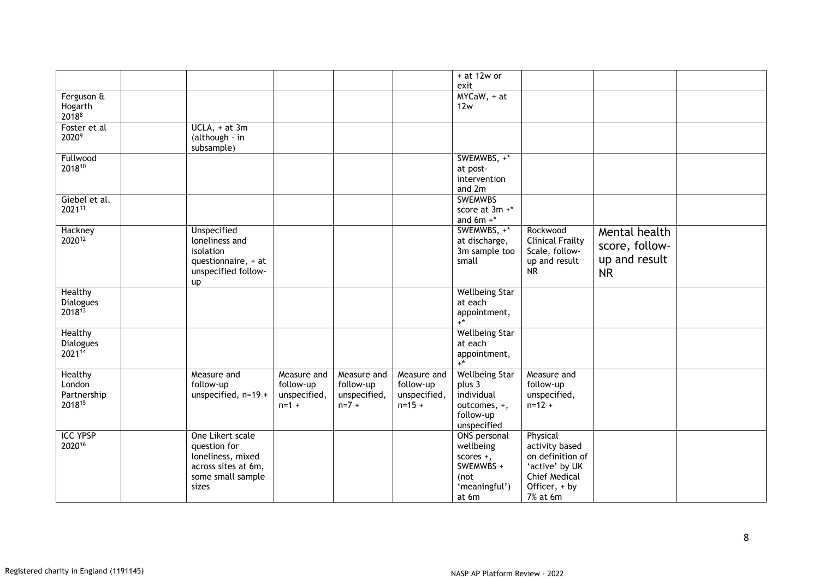|                  |                     |              |              |              | $+$ at 12w or         |                         |                |  |
|------------------|---------------------|--------------|--------------|--------------|-----------------------|-------------------------|----------------|--|
|                  |                     |              |              |              | exit                  |                         |                |  |
| Ferguson &       |                     |              |              |              | $MYCaW, +at$          |                         |                |  |
| Hogarth          |                     |              |              |              | 12w                   |                         |                |  |
| 20188            |                     |              |              |              |                       |                         |                |  |
| Foster et al     | $UCLA$ , + at 3m    |              |              |              |                       |                         |                |  |
| 20209            | (although - in      |              |              |              |                       |                         |                |  |
|                  | subsample)          |              |              |              |                       |                         |                |  |
| Fullwood         |                     |              |              |              | SWEMWBS, +*           |                         |                |  |
| 201810           |                     |              |              |              | at post-              |                         |                |  |
|                  |                     |              |              |              | intervention          |                         |                |  |
|                  |                     |              |              |              | and 2m                |                         |                |  |
| Giebel et al.    |                     |              |              |              | <b>SWEMWBS</b>        |                         |                |  |
| 202111           |                     |              |              |              | score at 3m +*        |                         |                |  |
|                  |                     |              |              |              | and $6m +$ *          |                         |                |  |
| Hackney          | Unspecified         |              |              |              | SWEMWBS, +*           | Rockwood                | Mental health  |  |
| 202012           | loneliness and      |              |              |              | at discharge,         | <b>Clinical Frailty</b> |                |  |
|                  | isolation           |              |              |              | 3m sample too         | Scale, follow-          | score, follow- |  |
|                  | questionnaire, + at |              |              |              | small                 | up and result           | up and result  |  |
|                  | unspecified follow- |              |              |              |                       | <b>NR</b>               | <b>NR</b>      |  |
|                  | up                  |              |              |              |                       |                         |                |  |
| Healthy          |                     |              |              |              | <b>Wellbeing Star</b> |                         |                |  |
| <b>Dialogues</b> |                     |              |              |              | at each               |                         |                |  |
| 201813           |                     |              |              |              | appointment,          |                         |                |  |
|                  |                     |              |              |              | $+^*$                 |                         |                |  |
| Healthy          |                     |              |              |              | <b>Wellbeing Star</b> |                         |                |  |
| <b>Dialogues</b> |                     |              |              |              | at each               |                         |                |  |
| 202114           |                     |              |              |              | appointment,          |                         |                |  |
|                  |                     |              |              |              | $\pm \star$           |                         |                |  |
| Healthy          | Measure and         | Measure and  | Measure and  | Measure and  | <b>Wellbeing Star</b> | Measure and             |                |  |
| London           | follow-up           | follow-up    | follow-up    | follow-up    | plus 3                | follow-up               |                |  |
| Partnership      | unspecified, n=19 + | unspecified, | unspecified, | unspecified, | individual            | unspecified,            |                |  |
| 201815           |                     | $n = 1 +$    | $n=7 +$      | $n = 15 +$   | outcomes, +,          | $n = 12 +$              |                |  |
|                  |                     |              |              |              | follow-up             |                         |                |  |
|                  |                     |              |              |              | unspecified           |                         |                |  |
| <b>ICC YPSP</b>  | One Likert scale    |              |              |              | ONS personal          | Physical                |                |  |
| 202016           | question for        |              |              |              | wellbeing             | activity based          |                |  |
|                  | loneliness, mixed   |              |              |              | scores $+$ ,          | on definition of        |                |  |
|                  | across sites at 6m, |              |              |              | SWEMWBS +             | 'active' by UK          |                |  |
|                  | some small sample   |              |              |              | (not                  | <b>Chief Medical</b>    |                |  |
|                  | sizes               |              |              |              | 'meaningful')         | Officer, + by           |                |  |
|                  |                     |              |              |              | at 6m                 | 7% at 6m                |                |  |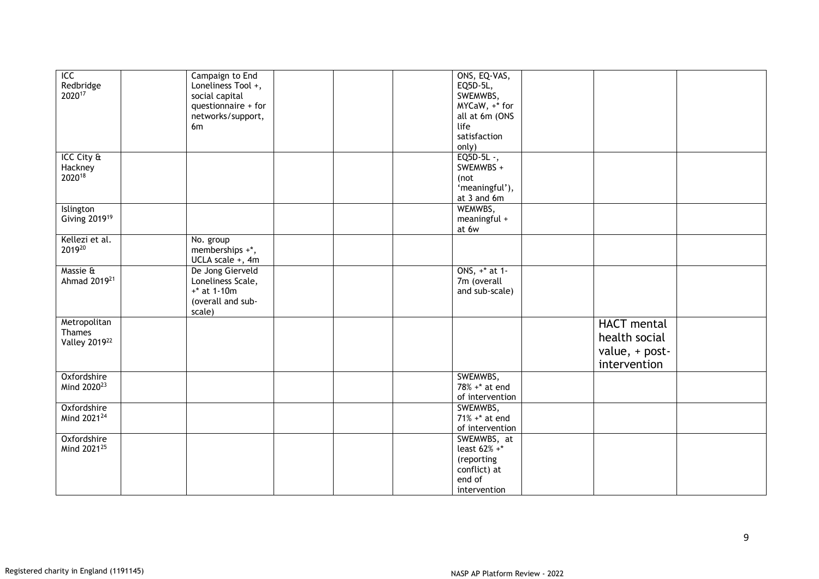| ICC                             | Campaign to End     | ONS, EQ-VAS,     |                    |  |
|---------------------------------|---------------------|------------------|--------------------|--|
|                                 | Loneliness Tool +,  | EQ5D-5L,         |                    |  |
| Redbridge<br>2020 <sup>17</sup> | social capital      | SWEMWBS,         |                    |  |
|                                 | questionnaire + for | MYCaW, +* for    |                    |  |
|                                 | networks/support,   | all at 6m (ONS   |                    |  |
|                                 | 6 <sub>m</sub>      | life             |                    |  |
|                                 |                     | satisfaction     |                    |  |
|                                 |                     |                  |                    |  |
|                                 |                     | only)            |                    |  |
| ICC City &                      |                     | $EQ5D-5L-,$      |                    |  |
| Hackney                         |                     | SWEMWBS +        |                    |  |
| 202018                          |                     | (not             |                    |  |
|                                 |                     | 'meaningful'),   |                    |  |
|                                 |                     | at 3 and 6m      |                    |  |
| Islington                       |                     | WEMWBS,          |                    |  |
| Giving 2019 <sup>19</sup>       |                     | meaningful +     |                    |  |
|                                 |                     | at 6w            |                    |  |
| Kellezi et al.                  | No. group           |                  |                    |  |
| 201920                          | memberships +*,     |                  |                    |  |
|                                 | UCLA scale +, 4m    |                  |                    |  |
| Massie &                        | De Jong Gierveld    | ONS, +* at 1-    |                    |  |
| Ahmad 2019 <sup>21</sup>        |                     |                  |                    |  |
|                                 | Loneliness Scale,   | 7m (overall      |                    |  |
|                                 | $+*$ at 1-10m       | and sub-scale)   |                    |  |
|                                 | (overall and sub-   |                  |                    |  |
|                                 | scale)              |                  |                    |  |
| Metropolitan                    |                     |                  | <b>HACT</b> mental |  |
| Thames                          |                     |                  | health social      |  |
| Valley 201922                   |                     |                  |                    |  |
|                                 |                     |                  | value, + post-     |  |
|                                 |                     |                  | intervention       |  |
| Oxfordshire                     |                     | SWEMWBS,         |                    |  |
| Mind 2020 <sup>23</sup>         |                     | 78% +* at end    |                    |  |
|                                 |                     | of intervention  |                    |  |
| Oxfordshire                     |                     | SWEMWBS,         |                    |  |
| Mind 2021 <sup>24</sup>         |                     | $71\% +*$ at end |                    |  |
|                                 |                     |                  |                    |  |
|                                 |                     | of intervention  |                    |  |
| Oxfordshire                     |                     | SWEMWBS, at      |                    |  |
| Mind 2021 <sup>25</sup>         |                     | least 62% +*     |                    |  |
|                                 |                     | (reporting       |                    |  |
|                                 |                     | conflict) at     |                    |  |
|                                 |                     | end of           |                    |  |
|                                 |                     | intervention     |                    |  |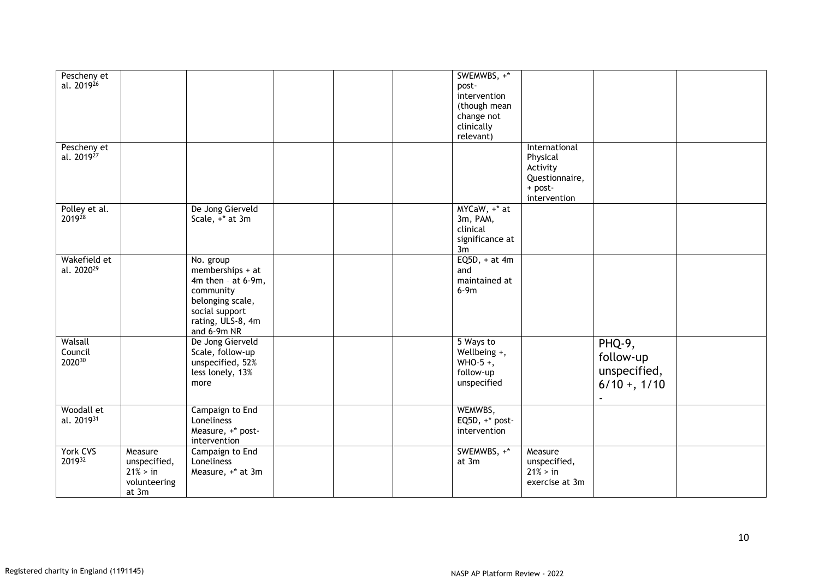| Pescheny et<br>al. 2019 <sup>26</sup><br>Pescheny et |                                                              |                                                                                                                                            |  | SWEMWBS, +*<br>post-<br>intervention<br>(though mean<br>change not<br>clinically<br>relevant) | International                                                     |                                                      |  |
|------------------------------------------------------|--------------------------------------------------------------|--------------------------------------------------------------------------------------------------------------------------------------------|--|-----------------------------------------------------------------------------------------------|-------------------------------------------------------------------|------------------------------------------------------|--|
| al. 2019 <sup>27</sup>                               |                                                              |                                                                                                                                            |  |                                                                                               | Physical<br>Activity<br>Questionnaire,<br>+ post-<br>intervention |                                                      |  |
| Polley et al.<br>201928                              |                                                              | De Jong Gierveld<br>Scale, +* at 3m                                                                                                        |  | MYCaW, +* at<br>3m, PAM,<br>clinical<br>significance at<br>3m                                 |                                                                   |                                                      |  |
| Wakefield et<br>al. 2020 <sup>29</sup>               |                                                              | No. group<br>memberships + at<br>4m then - at 6-9m,<br>community<br>belonging scale,<br>social support<br>rating, ULS-8, 4m<br>and 6-9m NR |  | $EQ5D, + at 4m$<br>and<br>maintained at<br>$6-9m$                                             |                                                                   |                                                      |  |
| Walsall<br>Council<br>202030                         |                                                              | De Jong Gierveld<br>Scale, follow-up<br>unspecified, 52%<br>less lonely, 13%<br>more                                                       |  | 5 Ways to<br>Wellbeing +,<br>WHO-5+,<br>follow-up<br>unspecified                              |                                                                   | PHQ-9,<br>follow-up<br>unspecified,<br>$6/10 + 1/10$ |  |
| Woodall et<br>al. 201931                             |                                                              | Campaign to End<br>Loneliness<br>Measure, +* post-<br>intervention                                                                         |  | WEMWBS,<br>EQ5D, $+$ * post-<br>intervention                                                  |                                                                   |                                                      |  |
| York CVS<br>201932                                   | Measure<br>unspecified,<br>21% > in<br>volunteering<br>at 3m | Campaign to End<br>Loneliness<br>Measure, +* at 3m                                                                                         |  | SWEMWBS, +*<br>at 3m                                                                          | Measure<br>unspecified,<br>$21\%$ > in<br>exercise at 3m          |                                                      |  |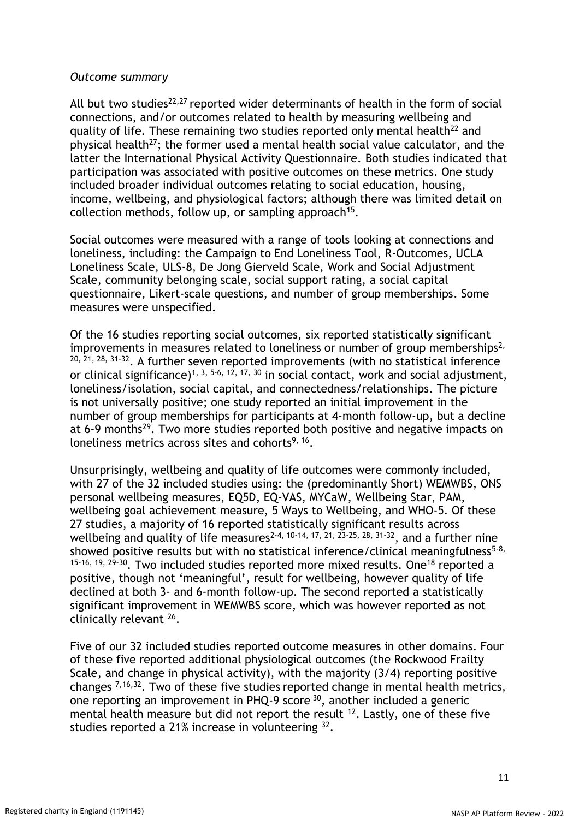#### *Outcome summary*

All but two studies<sup>22,27</sup> reported wider determinants of health in the form of social connections, and/or outcomes related to health by measuring wellbeing and quality of life. These remaining two studies reported only mental health<sup>22</sup> and physical health<sup>27</sup>; the former used a mental health social value calculator, and the latter the International Physical Activity Questionnaire. Both studies indicated that participation was associated with positive outcomes on these metrics. One study included broader individual outcomes relating to social education, housing, income, wellbeing, and physiological factors; although there was limited detail on collection methods, follow up, or sampling approach<sup>15</sup>.

Social outcomes were measured with a range of tools looking at connections and loneliness, including: the Campaign to End Loneliness Tool, R-Outcomes, UCLA Loneliness Scale, ULS-8, De Jong Gierveld Scale, Work and Social Adjustment Scale, community belonging scale, social support rating, a social capital questionnaire, Likert-scale questions, and number of group memberships. Some measures were unspecified.

Of the 16 studies reporting social outcomes, six reported statistically significant improvements in measures related to loneliness or number of group memberships<sup>2,</sup>  $20, 21, 28, 31-32$ . A further seven reported improvements (with no statistical inference or clinical significance)<sup>1, 3, 5-6, 12, 17, 30</sup> in social contact, work and social adjustment, loneliness/isolation, social capital, and connectedness/relationships. The picture is not universally positive; one study reported an initial improvement in the number of group memberships for participants at 4-month follow-up, but a decline at 6-9 months<sup>29</sup>. Two more studies reported both positive and negative impacts on loneliness metrics across sites and cohorts<sup>9, 16</sup>.

Unsurprisingly, wellbeing and quality of life outcomes were commonly included, with 27 of the 32 included studies using: the (predominantly Short) WEMWBS, ONS personal wellbeing measures, EQ5D, EQ-VAS, MYCaW, Wellbeing Star, PAM, wellbeing goal achievement measure, 5 Ways to Wellbeing, and WHO-5. Of these 27 studies, a majority of 16 reported statistically significant results across wellbeing and quality of life measures<sup>2-4, 10-14, 17, 21, 23-25, 28, 31-32</sup>, and a further nine showed positive results but with no statistical inference/clinical meaningfulness<sup>5-8,</sup>  $15-16$ ,  $19$ ,  $29-30$ . Two included studies reported more mixed results. One<sup>18</sup> reported a positive, though not 'meaningful', result for wellbeing, however quality of life declined at both 3- and 6-month follow-up. The second reported a statistically significant improvement in WEMWBS score, which was however reported as not clinically relevant <sup>26</sup>.

Five of our 32 included studies reported outcome measures in other domains. Four of these five reported additional physiological outcomes (the Rockwood Frailty Scale, and change in physical activity), with the majority (3/4) reporting positive changes 7,16,32. Two of these five studies reported change in mental health metrics, one reporting an improvement in PHQ-9 score <sup>30</sup>, another included a generic mental health measure but did not report the result <sup>12</sup>. Lastly, one of these five studies reported a 21% increase in volunteering  $32$ .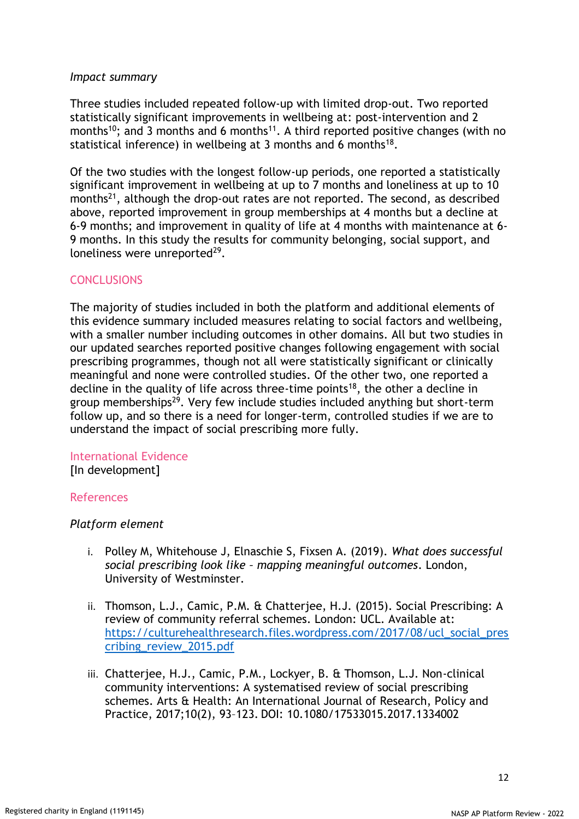#### *Impact summary*

Three studies included repeated follow-up with limited drop-out. Two reported statistically significant improvements in wellbeing at: post-intervention and 2 months<sup>10</sup>; and 3 months and 6 months<sup>11</sup>. A third reported positive changes (with no statistical inference) in wellbeing at 3 months and 6 months $^{18}$ .

Of the two studies with the longest follow-up periods, one reported a statistically significant improvement in wellbeing at up to 7 months and loneliness at up to 10 months<sup>21</sup>, although the drop-out rates are not reported. The second, as described above, reported improvement in group memberships at 4 months but a decline at 6-9 months; and improvement in quality of life at 4 months with maintenance at 6- 9 months. In this study the results for community belonging, social support, and loneliness were unreported<sup>29</sup>.

# **CONCLUSIONS**

The majority of studies included in both the platform and additional elements of this evidence summary included measures relating to social factors and wellbeing, with a smaller number including outcomes in other domains. All but two studies in our updated searches reported positive changes following engagement with social prescribing programmes, though not all were statistically significant or clinically meaningful and none were controlled studies. Of the other two, one reported a decline in the quality of life across three-time points<sup>18</sup>, the other a decline in group memberships<sup>29</sup>. Very few include studies included anything but short-term follow up, and so there is a need for longer-term, controlled studies if we are to understand the impact of social prescribing more fully.

#### International Evidence

[In development]

#### References

#### *Platform element*

- i. Polley M, Whitehouse J, Elnaschie S, Fixsen A. (2019). *What does successful social prescribing look like – mapping meaningful outcomes*. London, University of Westminster.
- ii. Thomson, L.J., Camic, P.M. & Chatterjee, H.J. (2015). Social Prescribing: A review of community referral schemes. London: UCL. Available at: [https://culturehealthresearch.files.wordpress.com/2017/08/ucl\\_social\\_pres](https://culturehealthresearch.files.wordpress.com/2017/08/ucl_social_prescribing_review_2015.pdf) [cribing\\_review\\_2015.pdf](https://culturehealthresearch.files.wordpress.com/2017/08/ucl_social_prescribing_review_2015.pdf)
- iii. Chatterjee, H.J., Camic, P.M., Lockyer, B. & Thomson, L.J. Non-clinical community interventions: A systematised review of social prescribing schemes. Arts & Health: An International Journal of Research, Policy and Practice, 2017;10(2), 93–123. [DOI: 10.1080/17533015.2017.1334002](http://dx.doi.org/10.1080/17533015.2017.1334002)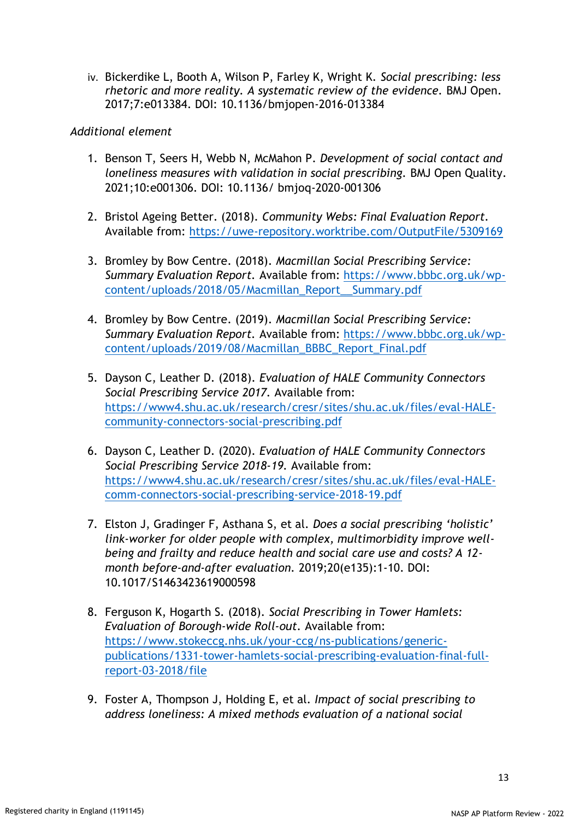iv. Bickerdike L, Booth A, Wilson P, Farley K, Wright K. *Social prescribing: less rhetoric and more reality. A systematic review of the evidence.* BMJ Open. 2017;7:e013384. DOI: 10.1136/bmjopen-2016-013384

# *Additional element*

- 1. Benson T, Seers H, Webb N, McMahon P. *Development of social contact and loneliness measures with validation in social prescribing.* BMJ Open Quality. 2021;10:e001306. DOI: 10.1136/ bmjoq-2020-001306
- 2. Bristol Ageing Better. (2018). *Community Webs: Final Evaluation Report.* Available from:<https://uwe-repository.worktribe.com/OutputFile/5309169>
- 3. Bromley by Bow Centre. (2018). *Macmillan Social Prescribing Service: Summary Evaluation Report.* Available from: [https://www.bbbc.org.uk/wp](https://www.bbbc.org.uk/wp-content/uploads/2018/05/Macmillan_Report__Summary.pdf)[content/uploads/2018/05/Macmillan\\_Report\\_\\_Summary.pdf](https://www.bbbc.org.uk/wp-content/uploads/2018/05/Macmillan_Report__Summary.pdf)
- 4. Bromley by Bow Centre. (2019). *Macmillan Social Prescribing Service: Summary Evaluation Report.* Available from: [https://www.bbbc.org.uk/wp](https://www.bbbc.org.uk/wp-content/uploads/2019/08/Macmillan_BBBC_Report_Final.pdf)[content/uploads/2019/08/Macmillan\\_BBBC\\_Report\\_Final.pdf](https://www.bbbc.org.uk/wp-content/uploads/2019/08/Macmillan_BBBC_Report_Final.pdf)
- 5. Dayson C, Leather D. (2018). *Evaluation of HALE Community Connectors Social Prescribing Service 2017.* Available from: [https://www4.shu.ac.uk/research/cresr/sites/shu.ac.uk/files/eval-HALE](https://www4.shu.ac.uk/research/cresr/sites/shu.ac.uk/files/eval-HALE-community-connectors-social-prescribing.pdf)[community-connectors-social-prescribing.pdf](https://www4.shu.ac.uk/research/cresr/sites/shu.ac.uk/files/eval-HALE-community-connectors-social-prescribing.pdf)
- 6. Dayson C, Leather D. (2020). *Evaluation of HALE Community Connectors Social Prescribing Service 2018-19.* Available from: [https://www4.shu.ac.uk/research/cresr/sites/shu.ac.uk/files/eval-HALE](https://www4.shu.ac.uk/research/cresr/sites/shu.ac.uk/files/eval-HALE-comm-connectors-social-prescribing-service-2018-19.pdf)[comm-connectors-social-prescribing-service-2018-19.pdf](https://www4.shu.ac.uk/research/cresr/sites/shu.ac.uk/files/eval-HALE-comm-connectors-social-prescribing-service-2018-19.pdf)
- 7. Elston J, Gradinger F, Asthana S, et al. *Does a social prescribing 'holistic' link-worker for older people with complex, multimorbidity improve wellbeing and frailty and reduce health and social care use and costs? A 12 month before-and-after evaluation.* 2019;20(e135):1-10. DOI: 10.1017/S1463423619000598
- 8. Ferguson K, Hogarth S. (2018). *Social Prescribing in Tower Hamlets: Evaluation of Borough-wide Roll-out.* Available from: [https://www.stokeccg.nhs.uk/your-ccg/ns-publications/generic](https://www.stokeccg.nhs.uk/your-ccg/ns-publications/generic-publications/1331-tower-hamlets-social-prescribing-evaluation-final-full-report-03-2018/file)[publications/1331-tower-hamlets-social-prescribing-evaluation-final-full](https://www.stokeccg.nhs.uk/your-ccg/ns-publications/generic-publications/1331-tower-hamlets-social-prescribing-evaluation-final-full-report-03-2018/file)[report-03-2018/file](https://www.stokeccg.nhs.uk/your-ccg/ns-publications/generic-publications/1331-tower-hamlets-social-prescribing-evaluation-final-full-report-03-2018/file)
- 9. Foster A, Thompson J, Holding E, et al. *Impact of social prescribing to address loneliness: A mixed methods evaluation of a national social*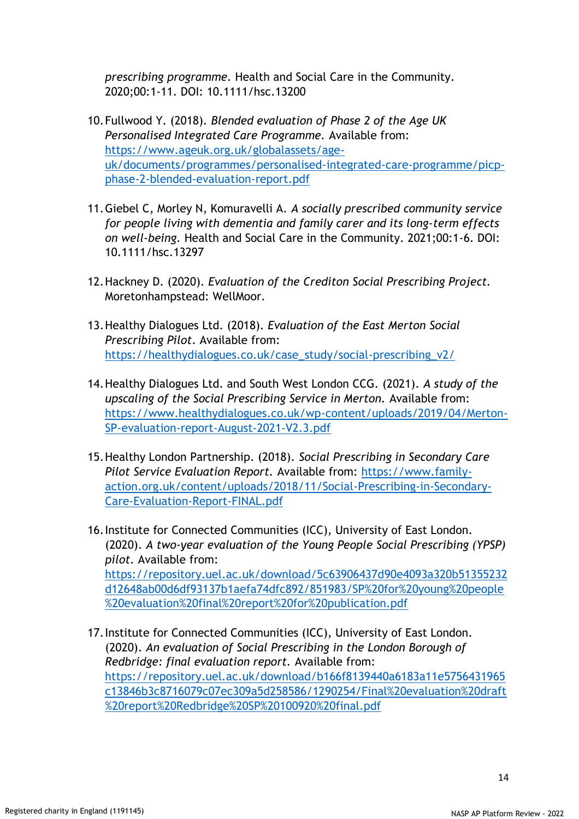*prescribing programme.* Health and Social Care in the Community. 2020;00:1-11. DOI: 10.1111/hsc.13200

- 10.Fullwood Y. (2018). *Blended evaluation of Phase 2 of the Age UK Personalised Integrated Care Programme.* Available from: [https://www.ageuk.org.uk/globalassets/age](https://www.ageuk.org.uk/globalassets/age-uk/documents/programmes/personalised-integrated-care-programme/picp-phase-2-blended-evaluation-report.pdf)[uk/documents/programmes/personalised-integrated-care-programme/picp](https://www.ageuk.org.uk/globalassets/age-uk/documents/programmes/personalised-integrated-care-programme/picp-phase-2-blended-evaluation-report.pdf)[phase-2-blended-evaluation-report.pdf](https://www.ageuk.org.uk/globalassets/age-uk/documents/programmes/personalised-integrated-care-programme/picp-phase-2-blended-evaluation-report.pdf)
- 11.Giebel C, Morley N, Komuravelli A. *A socially prescribed community service for people living with dementia and family carer and its long-term effects on well-being.* Health and Social Care in the Community. 2021;00:1-6. DOI: 10.1111/hsc.13297
- 12.Hackney D. (2020). *Evaluation of the Crediton Social Prescribing Project.*  Moretonhampstead: WellMoor.
- 13.Healthy Dialogues Ltd. (2018). *Evaluation of the East Merton Social Prescribing Pilot*. Available from: [https://healthydialogues.co.uk/case\\_study/social-prescribing\\_v2/](https://healthydialogues.co.uk/case_study/social-prescribing_v2/)
- 14.Healthy Dialogues Ltd. and South West London CCG. (2021). *A study of the upscaling of the Social Prescribing Service in Merton.* Available from: [https://www.healthydialogues.co.uk/wp-content/uploads/2019/04/Merton-](https://www.healthydialogues.co.uk/wp-content/uploads/2019/04/Merton-SP-evaluation-report-August-2021-V2.3.pdf)[SP-evaluation-report-August-2021-V2.3.pdf](https://www.healthydialogues.co.uk/wp-content/uploads/2019/04/Merton-SP-evaluation-report-August-2021-V2.3.pdf)
- 15.Healthy London Partnership. (2018). *Social Prescribing in Secondary Care Pilot Service Evaluation Report.* Available from: [https://www.family](https://www.family-action.org.uk/content/uploads/2018/11/Social-Prescribing-in-Secondary-Care-Evaluation-Report-FINAL.pdf)[action.org.uk/content/uploads/2018/11/Social-Prescribing-in-Secondary-](https://www.family-action.org.uk/content/uploads/2018/11/Social-Prescribing-in-Secondary-Care-Evaluation-Report-FINAL.pdf)[Care-Evaluation-Report-FINAL.pdf](https://www.family-action.org.uk/content/uploads/2018/11/Social-Prescribing-in-Secondary-Care-Evaluation-Report-FINAL.pdf)
- 16.Institute for Connected Communities (ICC), University of East London. (2020). *A two-year evaluation of the Young People Social Prescribing (YPSP) pilot.* Available from: [https://repository.uel.ac.uk/download/5c63906437d90e4093a320b51355232](https://repository.uel.ac.uk/download/5c63906437d90e4093a320b51355232d12648ab00d6df93137b1aefa74dfc892/851983/SP%20for%20young%20people%20evaluation%20final%20report%20for%20publication.pdf) [d12648ab00d6df93137b1aefa74dfc892/851983/SP%20for%20young%20people](https://repository.uel.ac.uk/download/5c63906437d90e4093a320b51355232d12648ab00d6df93137b1aefa74dfc892/851983/SP%20for%20young%20people%20evaluation%20final%20report%20for%20publication.pdf) [%20evaluation%20final%20report%20for%20publication.pdf](https://repository.uel.ac.uk/download/5c63906437d90e4093a320b51355232d12648ab00d6df93137b1aefa74dfc892/851983/SP%20for%20young%20people%20evaluation%20final%20report%20for%20publication.pdf)
- 17.Institute for Connected Communities (ICC), University of East London. (2020). *An evaluation of Social Prescribing in the London Borough of Redbridge: final evaluation report.* Available from: [https://repository.uel.ac.uk/download/b166f8139440a6183a11e5756431965](https://repository.uel.ac.uk/download/b166f8139440a6183a11e5756431965c13846b3c8716079c07ec309a5d258586/1290254/Final%20evaluation%20draft%20report%20Redbridge%20SP%20100920%20final.pdf) [c13846b3c8716079c07ec309a5d258586/1290254/Final%20evaluation%20draft](https://repository.uel.ac.uk/download/b166f8139440a6183a11e5756431965c13846b3c8716079c07ec309a5d258586/1290254/Final%20evaluation%20draft%20report%20Redbridge%20SP%20100920%20final.pdf) [%20report%20Redbridge%20SP%20100920%20final.pdf](https://repository.uel.ac.uk/download/b166f8139440a6183a11e5756431965c13846b3c8716079c07ec309a5d258586/1290254/Final%20evaluation%20draft%20report%20Redbridge%20SP%20100920%20final.pdf)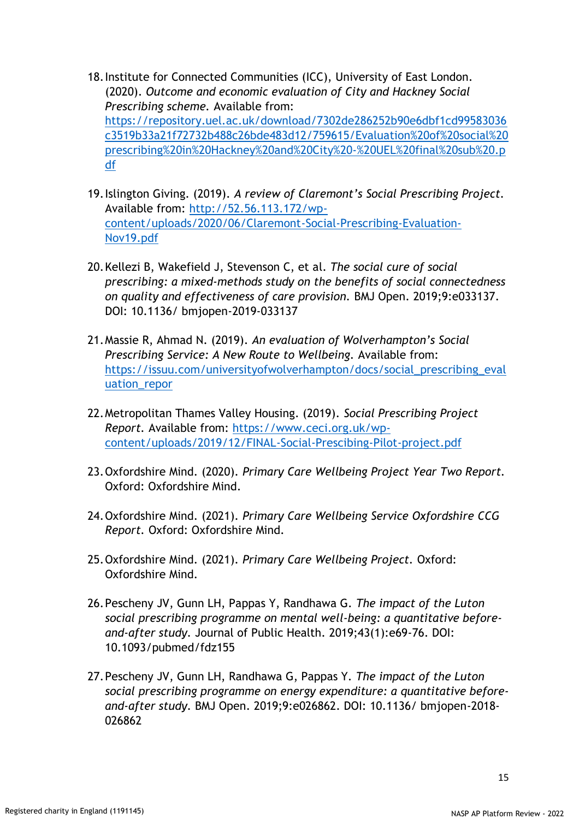- 18.Institute for Connected Communities (ICC), University of East London. (2020). *Outcome and economic evaluation of City and Hackney Social Prescribing scheme.* Available from: [https://repository.uel.ac.uk/download/7302de286252b90e6dbf1cd99583036](https://repository.uel.ac.uk/download/7302de286252b90e6dbf1cd99583036c3519b33a21f72732b488c26bde483d12/759615/Evaluation%20of%20social%20prescribing%20in%20Hackney%20and%20City%20-%20UEL%20final%20sub%20.pdf) [c3519b33a21f72732b488c26bde483d12/759615/Evaluation%20of%20social%20](https://repository.uel.ac.uk/download/7302de286252b90e6dbf1cd99583036c3519b33a21f72732b488c26bde483d12/759615/Evaluation%20of%20social%20prescribing%20in%20Hackney%20and%20City%20-%20UEL%20final%20sub%20.pdf) [prescribing%20in%20Hackney%20and%20City%20-%20UEL%20final%20sub%20.p](https://repository.uel.ac.uk/download/7302de286252b90e6dbf1cd99583036c3519b33a21f72732b488c26bde483d12/759615/Evaluation%20of%20social%20prescribing%20in%20Hackney%20and%20City%20-%20UEL%20final%20sub%20.pdf) [df](https://repository.uel.ac.uk/download/7302de286252b90e6dbf1cd99583036c3519b33a21f72732b488c26bde483d12/759615/Evaluation%20of%20social%20prescribing%20in%20Hackney%20and%20City%20-%20UEL%20final%20sub%20.pdf)
- 19.Islington Giving. (2019). *A review of Claremont's Social Prescribing Project.* Available from: [http://52.56.113.172/wp](http://52.56.113.172/wp-content/uploads/2020/06/Claremont-Social-Prescribing-Evaluation-Nov19.pdf)[content/uploads/2020/06/Claremont-Social-Prescribing-Evaluation-](http://52.56.113.172/wp-content/uploads/2020/06/Claremont-Social-Prescribing-Evaluation-Nov19.pdf)[Nov19.pdf](http://52.56.113.172/wp-content/uploads/2020/06/Claremont-Social-Prescribing-Evaluation-Nov19.pdf)
- 20.Kellezi B, Wakefield J, Stevenson C, et al. *The social cure of social prescribing: a mixed-methods study on the benefits of social connectedness on quality and effectiveness of care provision.* BMJ Open. 2019;9:e033137. DOI: 10.1136/ bmjopen-2019-033137
- 21.Massie R, Ahmad N. (2019). *An evaluation of Wolverhampton's Social Prescribing Service: A New Route to Wellbeing.* Available from: [https://issuu.com/universityofwolverhampton/docs/social\\_prescribing\\_eval](https://issuu.com/universityofwolverhampton/docs/social_prescribing_evaluation_repor) [uation\\_repor](https://issuu.com/universityofwolverhampton/docs/social_prescribing_evaluation_repor)
- 22.Metropolitan Thames Valley Housing. (2019). *Social Prescribing Project Report.* Available from: [https://www.ceci.org.uk/wp](https://www.ceci.org.uk/wp-content/uploads/2019/12/FINAL-Social-Prescibing-Pilot-project.pdf)[content/uploads/2019/12/FINAL-Social-Prescibing-Pilot-project.pdf](https://www.ceci.org.uk/wp-content/uploads/2019/12/FINAL-Social-Prescibing-Pilot-project.pdf)
- 23.Oxfordshire Mind. (2020). *Primary Care Wellbeing Project Year Two Report.* Oxford: Oxfordshire Mind.
- 24.Oxfordshire Mind. (2021). *Primary Care Wellbeing Service Oxfordshire CCG Report.* Oxford: Oxfordshire Mind.
- 25.Oxfordshire Mind. (2021). *Primary Care Wellbeing Project.* Oxford: Oxfordshire Mind.
- 26.Pescheny JV, Gunn LH, Pappas Y, Randhawa G. *The impact of the Luton social prescribing programme on mental well-being: a quantitative beforeand-after study.* Journal of Public Health. 2019;43(1):e69-76. DOI: 10.1093/pubmed/fdz155
- 27.Pescheny JV, Gunn LH, Randhawa G, Pappas Y. *The impact of the Luton social prescribing programme on energy expenditure: a quantitative beforeand-after study.* BMJ Open. 2019;9:e026862. DOI: 10.1136/ bmjopen-2018- 026862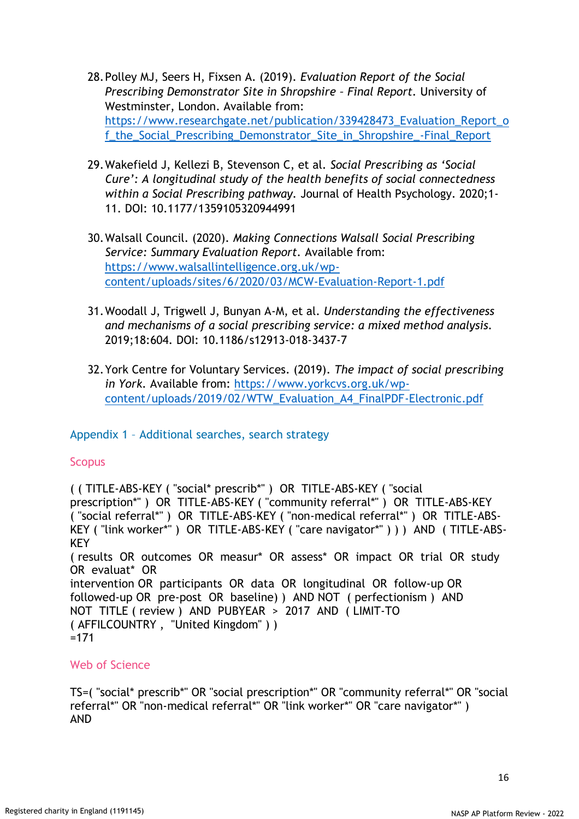- 28.Polley MJ, Seers H, Fixsen A. (2019). *Evaluation Report of the Social Prescribing Demonstrator Site in Shropshire – Final Report.* University of Westminster, London. Available from: [https://www.researchgate.net/publication/339428473\\_Evaluation\\_Report\\_o](https://www.researchgate.net/publication/339428473_Evaluation_Report_of_the_Social_Prescribing_Demonstrator_Site_in_Shropshire_-Final_Report) [f\\_the\\_Social\\_Prescribing\\_Demonstrator\\_Site\\_in\\_Shropshire\\_-Final\\_Report](https://www.researchgate.net/publication/339428473_Evaluation_Report_of_the_Social_Prescribing_Demonstrator_Site_in_Shropshire_-Final_Report)
- 29.Wakefield J, Kellezi B, Stevenson C, et al. *Social Prescribing as 'Social Cure': A longitudinal study of the health benefits of social connectedness within a Social Prescribing pathway.* Journal of Health Psychology. 2020;1- 11. DOI: 10.1177/1359105320944991
- 30.Walsall Council. (2020). *Making Connections Walsall Social Prescribing Service: Summary Evaluation Report.* Available from: [https://www.walsallintelligence.org.uk/wp](https://www.walsallintelligence.org.uk/wp-content/uploads/sites/6/2020/03/MCW-Evaluation-Report-1.pdf)[content/uploads/sites/6/2020/03/MCW-Evaluation-Report-1.pdf](https://www.walsallintelligence.org.uk/wp-content/uploads/sites/6/2020/03/MCW-Evaluation-Report-1.pdf)
- 31.Woodall J, Trigwell J, Bunyan A-M, et al. *Understanding the effectiveness and mechanisms of a social prescribing service: a mixed method analysis.* 2019;18:604. DOI: 10.1186/s12913-018-3437-7
- 32.York Centre for Voluntary Services. (2019). *The impact of social prescribing in York.* Available from: [https://www.yorkcvs.org.uk/wp](https://www.yorkcvs.org.uk/wp-content/uploads/2019/02/WTW_Evaluation_A4_FinalPDF-Electronic.pdf)[content/uploads/2019/02/WTW\\_Evaluation\\_A4\\_FinalPDF-Electronic.pdf](https://www.yorkcvs.org.uk/wp-content/uploads/2019/02/WTW_Evaluation_A4_FinalPDF-Electronic.pdf)

# Appendix 1 – Additional searches, search strategy

# **Scopus**

( ( TITLE-ABS-KEY ( "social\* prescrib\*" ) OR TITLE-ABS-KEY ( "social prescription\*" ) OR TITLE-ABS-KEY ( "community referral\*" ) OR TITLE-ABS-KEY ( "social referral\*" ) OR TITLE-ABS-KEY ( "non-medical referral\*" ) OR TITLE-ABS-KEY ( "link worker\*" ) OR TITLE-ABS-KEY ( "care navigator\*" ) ) ) AND ( TITLE-ABS-**KFY** ( results OR outcomes OR measur\* OR assess\* OR impact OR trial OR study OR evaluat\* OR intervention OR participants OR data OR longitudinal OR follow-up OR followed-up OR pre-post OR baseline) ) AND NOT ( perfectionism ) AND NOT TITLE ( review ) AND PUBYEAR > 2017 AND ( LIMIT-TO ( AFFILCOUNTRY , "United Kingdom" ) )  $=171$ 

# Web of Science

TS=( "social\* prescrib\*" OR "social prescription\*" OR "community referral\*" OR "social referral\*" OR "non-medical referral\*" OR "link worker\*" OR "care navigator\*") AND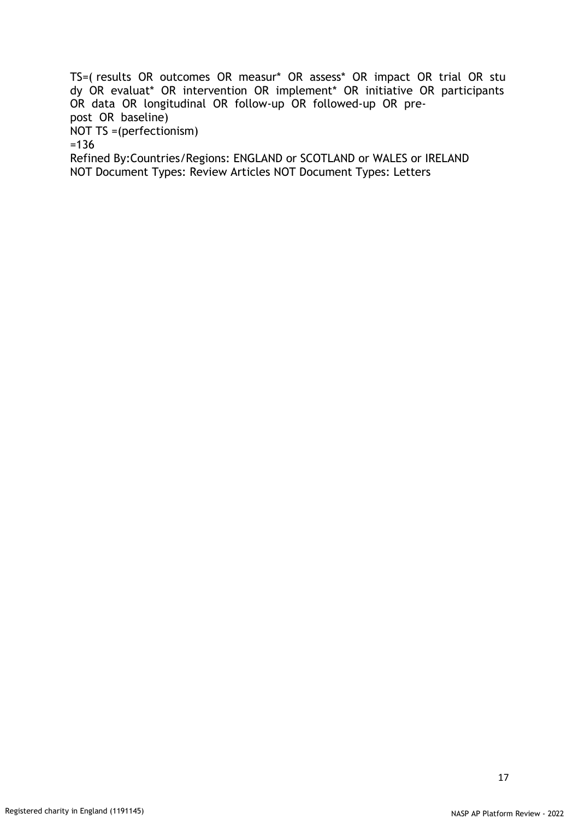TS=( results OR outcomes OR measur\* OR assess\* OR impact OR trial OR stu dy OR evaluat\* OR intervention OR implement\* OR initiative OR participants OR data OR longitudinal OR follow-up OR followed-up OR prepost OR baseline) NOT TS =(perfectionism) =136 Refined By:Countries/Regions: ENGLAND or SCOTLAND or WALES or IRELAND NOT Document Types: Review Articles NOT Document Types: Letters